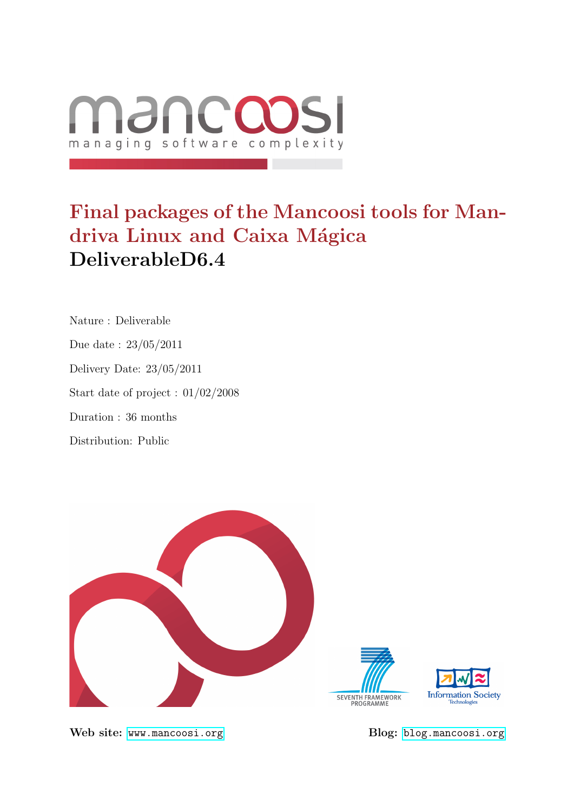

# Final packages of the Mancoosi tools for Mandriva Linux and Caixa Mágica DeliverableD6.4

Nature : Deliverable Due date : 23/05/2011 Delivery Date: 23/05/2011 Start date of project : 01/02/2008 Duration : 36 months Distribution: Public



Web site: <www.mancoosi.org> Blog: <blog.mancoosi.org>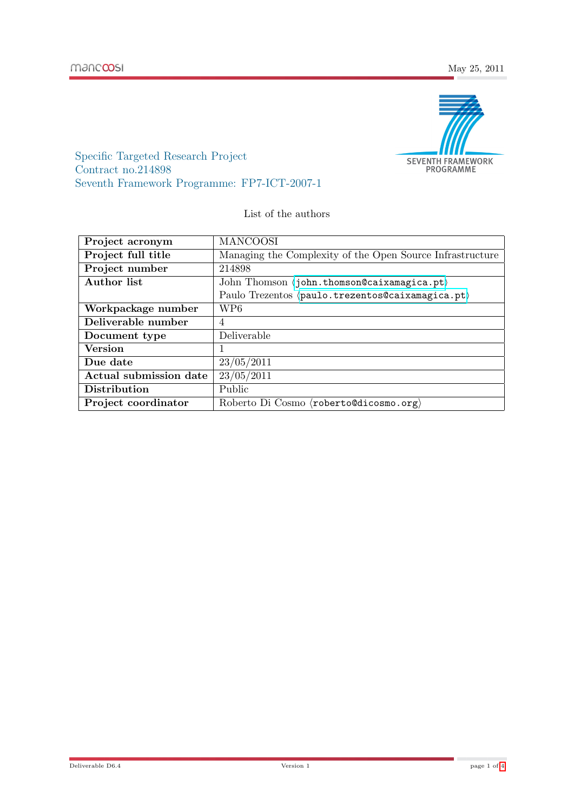

Specific Targeted Research Project Contract no.214898 Seventh Framework Programme: FP7-ICT-2007-1

List of the authors

| Project acronym        | <b>MANCOOSI</b>                                              |
|------------------------|--------------------------------------------------------------|
| Project full title     | Managing the Complexity of the Open Source Infrastructure    |
| Project number         | 214898                                                       |
| Author list            | John Thomson $\langle$ john.thomson@caixamagica.pt $\rangle$ |
|                        | Paulo Trezentos (paulo.trezentos@caixamagica.pt)             |
| Workpackage number     | WP6                                                          |
| Deliverable number     | 4                                                            |
| Document type          | Deliverable                                                  |
| <b>Version</b>         |                                                              |
| Due date               | 23/05/2011                                                   |
| Actual submission date | 23/05/2011                                                   |
| Distribution           | Public                                                       |
| Project coordinator    | Roberto Di Cosmo $\langle$ roberto@dicosmo.org $\rangle$     |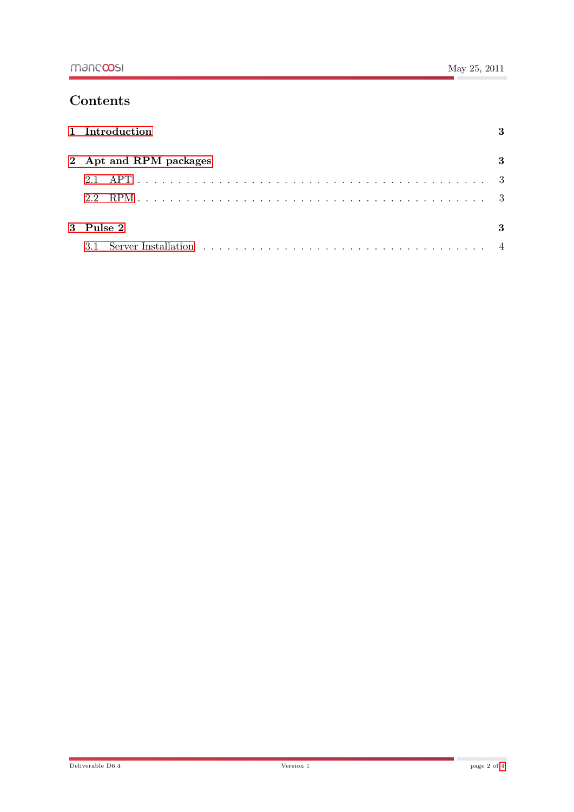## **Contents**

| 1 Introduction         |              |
|------------------------|--------------|
| 2 Apt and RPM packages |              |
|                        |              |
| 2.2                    |              |
| $3$ Pulse $2$          | $\mathbf{R}$ |
| 3.1                    |              |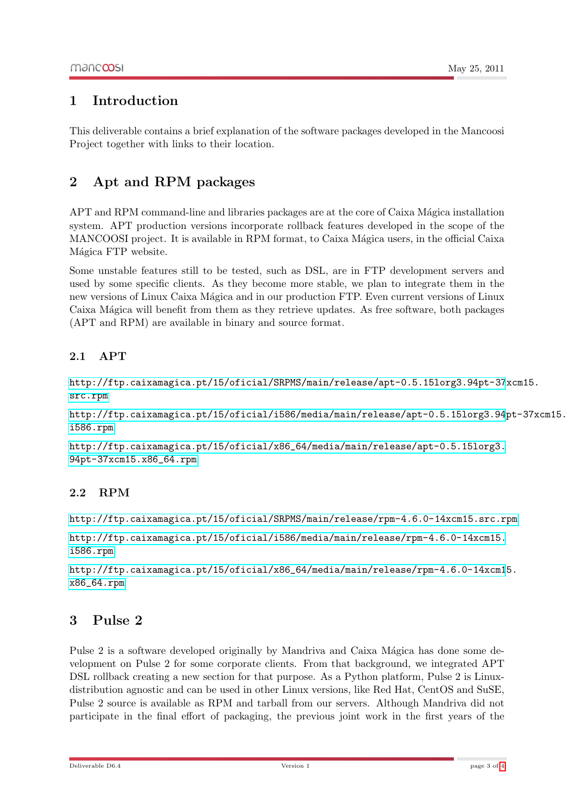### <span id="page-3-0"></span>1 Introduction

This deliverable contains a brief explanation of the software packages developed in the Mancoosi Project together with links to their location.

## <span id="page-3-1"></span>2 Apt and RPM packages

APT and RPM command-line and libraries packages are at the core of Caixa Mágica installation system. APT production versions incorporate rollback features developed in the scope of the MANCOOSI project. It is available in RPM format, to Caixa Mágica users, in the official Caixa Mágica FTP website.

Some unstable features still to be tested, such as DSL, are in FTP development servers and used by some specific clients. As they become more stable, we plan to integrate them in the new versions of Linux Caixa Mágica and in our production FTP. Even current versions of Linux Caixa Mágica will benefit from them as they retrieve updates. As free software, both packages (APT and RPM) are available in binary and source format.

#### <span id="page-3-2"></span>2.1 APT

[http://ftp.caixamagica.pt/15/oficial/SRPMS/main/release/apt-0.5.15lorg3.94pt-37](http://ftp.caixamagica.pt/15/oficial/SRPMS/main/release/apt-0.5.15lorg3.94pt-37xcm15.src.rpm)xcm15. [src.rpm](http://ftp.caixamagica.pt/15/oficial/SRPMS/main/release/apt-0.5.15lorg3.94pt-37xcm15.src.rpm)

[http://ftp.caixamagica.pt/15/oficial/i586/media/main/release/apt-0.5.15lorg3.94](http://ftp.caixamagica.pt/15/oficial/i586/media/main/release/apt-0.5.15lorg3.94pt-37xcm15.i586.rpm)pt-37xcm15. [i586.rpm](http://ftp.caixamagica.pt/15/oficial/i586/media/main/release/apt-0.5.15lorg3.94pt-37xcm15.i586.rpm)

[http://ftp.caixamagica.pt/15/oficial/x86\\_64/media/main/release/apt-0.5.15lorg3.](http://ftp.caixamagica.pt/15/oficial/x86_64/media/main/release/apt-0.5.15lorg3.94pt-37xcm15.x86_64.rpm) [94pt-37xcm15.x86\\_64.rpm](http://ftp.caixamagica.pt/15/oficial/x86_64/media/main/release/apt-0.5.15lorg3.94pt-37xcm15.x86_64.rpm)

#### <span id="page-3-3"></span>2.2 RPM

```
http://ftp.caixamagica.pt/15/oficial/SRPMS/main/release/rpm-4.6.0-14xcm15.src.rpm
```

```
http://ftp.caixamagica.pt/15/oficial/i586/media/main/release/rpm-4.6.0-14xcm15.
i586.rpm
```

```
http://ftp.caixamagica.pt/15/oficial/x86_64/media/main/release/rpm-4.6.0-14xcm15.
x86_64.rpm
```
#### <span id="page-3-4"></span>3 Pulse 2

Pulse 2 is a software developed originally by Mandriva and Caixa Mágica has done some development on Pulse 2 for some corporate clients. From that background, we integrated APT DSL rollback creating a new section for that purpose. As a Python platform, Pulse 2 is Linuxdistribution agnostic and can be used in other Linux versions, like Red Hat, CentOS and SuSE, Pulse 2 source is available as RPM and tarball from our servers. Although Mandriva did not participate in the final effort of packaging, the previous joint work in the first years of the